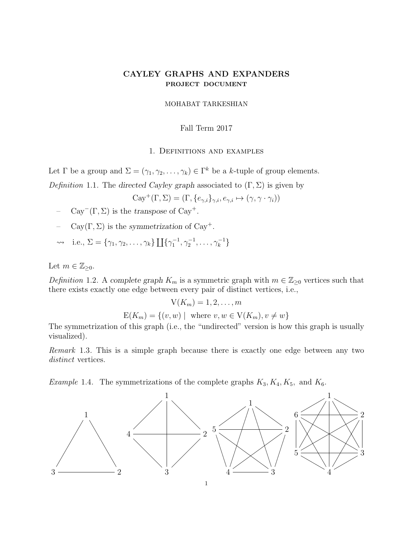# CAYLEY GRAPHS AND EXPANDERS PROJECT DOCUMENT

## MOHABAT TARKESHIAN

### Fall Term 2017

#### 1. Definitions and examples

Let  $\Gamma$  be a group and  $\Sigma = (\gamma_1, \gamma_2, \dots, \gamma_k) \in \Gamma^k$  be a k-tuple of group elements.

Definition 1.1. The directed Cayley graph associated to  $(\Gamma, \Sigma)$  is given by

$$
\text{Cay}^+(\Gamma,\Sigma)=(\Gamma,\{e_{\gamma,i}\}_{\gamma,i},e_{\gamma,i}\mapsto(\gamma,\gamma\cdot\gamma_i))
$$

- $-$  Cay<sup>-</sup>(Γ, Σ) is the transpose of Cay<sup>+</sup>.
- $\text{Cay}(\Gamma,\Sigma)$  is the symmetrization of Cay<sup>+</sup>.

$$
\rightsquigarrow \quad i.e., \, \Sigma = \{ \gamma_1, \gamma_2, \ldots, \gamma_k \} \coprod \{ \gamma_1^{-1}, \gamma_2^{-1}, \ldots, \gamma_k^{-1} \}
$$

Let  $m \in \mathbb{Z}_{\geq 0}$ .

Definition 1.2. A complete graph  $K_m$  is a symmetric graph with  $m \in \mathbb{Z}_{\geq 0}$  vertices such that there exists exactly one edge between every pair of distinct vertices, i.e.,

$$
V(K_m) = 1, 2, \dots, m
$$
  
E(K\_m) = { $(v, w)$  | where  $v, w \in V(K_m), v \neq w$ }

The symmetrization of this graph (i.e., the "undirected" version is how this graph is usually visualized).

Remark 1.3. This is a simple graph because there is exactly one edge between any two distinct vertices.

*Example 1.4.* The symmetrizations of the complete graphs  $K_3, K_4, K_5$ , and  $K_6$ .

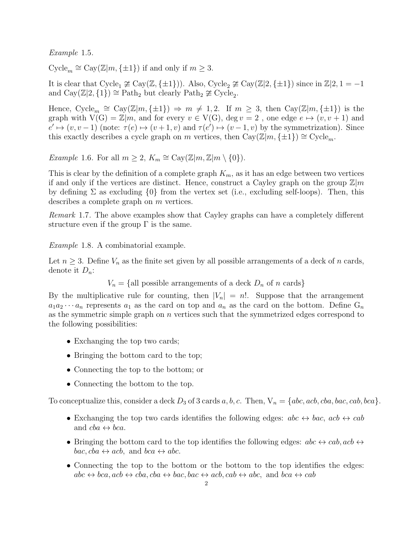Example 1.5.

 $\text{Cycle}_m \cong \text{Cay}(\mathbb{Z}|m, \{\pm 1\})$  if and only if  $m \geq 3$ .

It is clear that Cycle<sub>1</sub>  $\ncong$  Cay( $\mathbb{Z}, \{\pm 1\})$ ). Also, Cycle<sub>2</sub>  $\ncong$  Cay( $\mathbb{Z}/2, \{\pm 1\}$ ) since in  $\mathbb{Z}/2, 1 = -1$ and  $\text{Cay}(\mathbb{Z}|2,\{1\}) \cong \text{Path}_2$  but clearly  $\text{Path}_2 \not\cong \text{Cycle}_2$ .

Hence,  $Cycle_m \cong Cay(\mathbb{Z}|m, \{\pm 1\}) \Rightarrow m \neq 1, 2$ . If  $m \geq 3$ , then  $Cay(\mathbb{Z}|m, \{\pm 1\})$  is the graph with  $V(G) = \mathbb{Z}/m$ , and for every  $v \in V(G)$ , deg  $v = 2$ , one edge  $e \mapsto (v, v + 1)$  and  $e' \mapsto (v, v-1)$  (note:  $\tau(e) \mapsto (v+1, v)$  and  $\tau(e') \mapsto (v-1, v)$  by the symmetrization). Since this exactly describes a cycle graph on m vertices, then  $Cay(\mathbb{Z}|m, \{\pm 1\}) \cong Cycle_m$ .

*Example 1.6.* For all  $m \geq 2$ ,  $K_m \cong \text{Cay}(\mathbb{Z}|m, \mathbb{Z}|m \setminus \{0\})$ .

This is clear by the definition of a complete graph  $K_m$ , as it has an edge between two vertices if and only if the vertices are distinct. Hence, construct a Cayley graph on the group  $\mathbb{Z}/m$ by defining  $\Sigma$  as excluding  $\{0\}$  from the vertex set (i.e., excluding self-loops). Then, this describes a complete graph on m vertices.

Remark 1.7. The above examples show that Cayley graphs can have a completely different structure even if the group  $\Gamma$  is the same.

Example 1.8. A combinatorial example.

Let  $n \geq 3$ . Define  $V_n$  as the finite set given by all possible arrangements of a deck of n cards, denote it  $D_n$ :

 $V_n = \{$ all possible arrangements of a deck  $D_n$  of n cards

By the multiplicative rule for counting, then  $|V_n| = n!$ . Suppose that the arrangement  $a_1a_2\cdots a_n$  represents  $a_1$  as the card on top and  $a_n$  as the card on the bottom. Define  $G_n$ as the symmetric simple graph on n vertices such that the symmetrized edges correspond to the following possibilities:

- Exchanging the top two cards;
- Bringing the bottom card to the top;
- Connecting the top to the bottom; or
- Connecting the bottom to the top.

To conceptualize this, consider a deck  $D_3$  of 3 cards a, b, c. Then,  $V_n = \{abc, acb, bca, bac, cab, bca\}.$ 

- Exchanging the top two cards identifies the following edges:  $abc \leftrightarrow bac$ ,  $acb \leftrightarrow cab$ and  $cba \leftrightarrow bca$ .
- Bringing the bottom card to the top identifies the following edges:  $abc \leftrightarrow cab, acb \leftrightarrow$  $bac, cba \leftrightarrow acb, \text{ and } bca \leftrightarrow abc.$
- Connecting the top to the bottom or the bottom to the top identifies the edges:  $abc \leftrightarrow bca, acb \leftrightarrow cba, cba \leftrightarrow bac, bac \leftrightarrow acb, cab \leftrightarrow abc, and bca \leftrightarrow cab$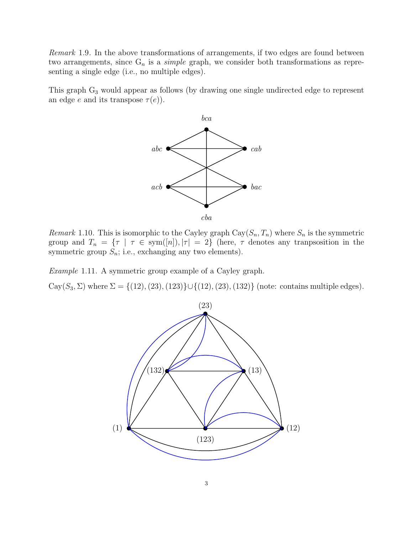Remark 1.9. In the above transformations of arrangements, if two edges are found between two arrangements, since  $G_n$  is a *simple* graph, we consider both transformations as representing a single edge (i.e., no multiple edges).

This graph  $G_3$  would appear as follows (by drawing one single undirected edge to represent an edge e and its transpose  $\tau(e)$ ).



Remark 1.10. This is isomorphic to the Cayley graph  $\text{Cay}(S_n, T_n)$  where  $S_n$  is the symmetric group and  $T_n = \{\tau \mid \tau \in sym([n]), |\tau| = 2\}$  (here,  $\tau$  denotes any transposition in the symmetric group  $S_n$ ; i.e., exchanging any two elements).

Example 1.11. A symmetric group example of a Cayley graph.

Cay(S<sub>3</sub>,  $\Sigma$ ) where  $\Sigma = \{(12), (23), (123)\} \cup \{(12), (23), (132)\}$  (note: contains multiple edges).

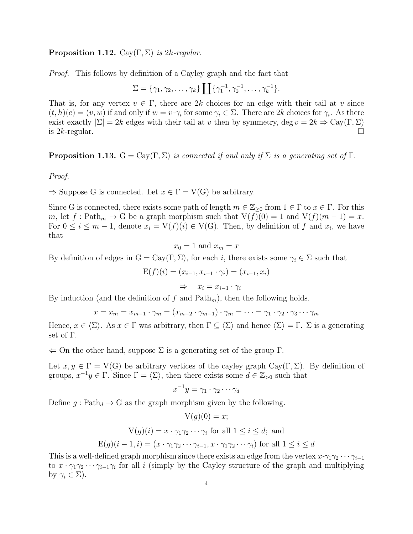## **Proposition 1.12.** Cay(Γ, Σ) is 2k-regular.

Proof. This follows by definition of a Cayley graph and the fact that

$$
\Sigma = \{ \gamma_1, \gamma_2, \dots, \gamma_k \} \coprod \{ \gamma_1^{-1}, \gamma_2^{-1}, \dots, \gamma_k^{-1} \}.
$$

That is, for any vertex  $v \in \Gamma$ , there are 2k choices for an edge with their tail at v since  $(t, h)(e) = (v, w)$  if and only if  $w = v \cdot \gamma_i$  for some  $\gamma_i \in \Sigma$ . There are 2k choices for  $\gamma_i$ . As there exist exactly  $|\Sigma| = 2k$  edges with their tail at v then by symmetry, deg  $v = 2k \Rightarrow \text{Cay}(\Gamma, \Sigma)$ is  $2k$ -regular.

<span id="page-3-0"></span>**Proposition 1.13.**  $G = Cay(\Gamma, \Sigma)$  is connected if and only if  $\Sigma$  is a generating set of  $\Gamma$ .

Proof.

 $\Rightarrow$  Suppose G is connected. Let  $x \in \Gamma = V(G)$  be arbitrary.

Since G is connected, there exists some path of length  $m \in \mathbb{Z}_{\geq 0}$  from  $1 \in \Gamma$  to  $x \in \Gamma$ . For this m, let f: Path<sub>m</sub>  $\rightarrow$  G be a graph morphism such that  $V(f)(0) = 1$  and  $V(f)(m - 1) = x$ . For  $0 \leq i \leq m-1$ , denote  $x_i = V(f)(i) \in V(G)$ . Then, by definition of f and  $x_i$ , we have that

$$
x_0 = 1 \text{ and } x_m = x
$$

By definition of edges in  $G = Cay(\Gamma, \Sigma)$ , for each i, there exists some  $\gamma_i \in \Sigma$  such that

$$
E(f)(i) = (x_{i-1}, x_{i-1} \cdot \gamma_i) = (x_{i-1}, x_i)
$$

$$
\Rightarrow x_i = x_{i-1} \cdot \gamma_i
$$

By induction (and the definition of f and  $\text{Path}_m$ ), then the following holds.

$$
x = x_m = x_{m-1} \cdot \gamma_m = (x_{m-2} \cdot \gamma_{m-1}) \cdot \gamma_m = \dots = \gamma_1 \cdot \gamma_2 \cdot \gamma_3 \cdot \dots \cdot \gamma_m
$$

Hence,  $x \in \langle \Sigma \rangle$ . As  $x \in \Gamma$  was arbitrary, then  $\Gamma \subseteq \langle \Sigma \rangle$  and hence  $\langle \Sigma \rangle = \Gamma$ .  $\Sigma$  is a generating set of Γ.

 $\Leftarrow$  On the other hand, suppose  $\Sigma$  is a generating set of the group  $\Gamma$ .

Let  $x, y \in \Gamma = V(G)$  be arbitrary vertices of the cayley graph Cay(Γ, Σ). By definition of groups,  $x^{-1}y \in \Gamma$ . Since  $\Gamma = \langle \Sigma \rangle$ , then there exists some  $d \in \mathbb{Z}_{>0}$  such that

$$
x^{-1}y = \gamma_1 \cdot \gamma_2 \cdots \gamma_d
$$

Define  $g: \text{Path}_{d} \to G$  as the graph morphism given by the following.

$$
V(g)(0) = x;
$$
  
 
$$
V(g)(i) = x \cdot \gamma_1 \gamma_2 \cdots \gamma_i \text{ for all } 1 \le i \le d; \text{ and}
$$
  
 
$$
E(g)(i - 1, i) = (x \cdot \gamma_1 \gamma_2 \cdots \gamma_{i-1}, x \cdot \gamma_1 \gamma_2 \cdots \gamma_i) \text{ for all } 1 \le i \le d
$$

This is a well-defined graph morphism since there exists an edge from the vertex  $x \cdot \gamma_1 \gamma_2 \cdots \gamma_{i-1}$ to  $x \cdot \gamma_1 \gamma_2 \cdots \gamma_{i-1} \gamma_i$  for all i (simply by the Cayley structure of the graph and multiplying by  $\gamma_i \in \Sigma$ ).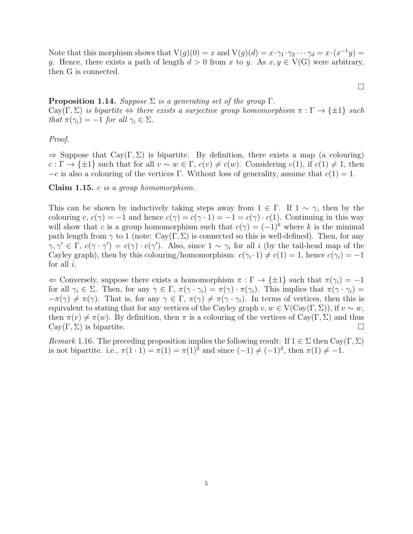Note that this morphism shows that  $V(g)(0) = x$  and  $V(g)(d) = x \cdot \gamma_1 \cdot \gamma_2 \cdot \cdot \cdot \gamma_d = x \cdot (x^{-1}y) =$ y. Hence, there exists a path of length  $d > 0$  from x to y. As  $x, y \in V(G)$  were arbitrary, then G is connected.

**Proposition 1.14.** Suppose  $\Sigma$  is a generating set of the group  $\Gamma$ . Cay(Γ, Σ) is bipartite  $\Leftrightarrow$  there exists a surjective group homomorphism  $\pi : \Gamma \to {\pm 1}$  such that  $\pi(\gamma_i) = -1$  for all  $\gamma_i \in \Sigma$ .

 $\Box$ 

## Proof.

 $\Rightarrow$  Suppose that Cay(Γ, Σ) is bipartite. By definition, there exists a map (a colouring)  $c : \Gamma \to {\pm 1}$  such that for all  $v \sim w \in \Gamma$ ,  $c(v) \neq c(w)$ . Considering  $c(1)$ , if  $c(1) \neq 1$ , then  $-c$  is also a colouring of the vertices Γ. Without loss of generality, assume that  $c(1) = 1$ .

Claim 1.15. c is a group homomorphism.

This can be shown by inductively taking steps away from  $1 \in \Gamma$ . If  $1 \sim \gamma$ , then by the colouring c,  $c(\gamma) = -1$  and hence  $c(\gamma) = c(\gamma \cdot 1) = -1 = c(\gamma) \cdot c(1)$ . Continuing in this way will show that c is a group homomorphism such that  $c(\gamma) = (-1)^k$  where k is the minimal path length from  $\gamma$  to 1 (note: Cay(Γ, Σ) is connected so this is well-defined). Then, for any  $\gamma, \gamma' \in \Gamma$ ,  $c(\gamma \cdot \gamma') = c(\gamma) \cdot c(\gamma')$ . Also, since  $1 \sim \gamma_i$  for all i (by the tail-head map of the Cayley graph), then by this colouring/homomorphism:  $c(\gamma_i \cdot 1) \neq c(1) = 1$ , hence  $c(\gamma_i) = -1$ for all  $i$ .

 $\Leftarrow$  Conversely, suppose there exists a homomorphism  $\pi : \Gamma \to {\pm 1}$  such that  $\pi(\gamma_i) = -1$ for all  $\gamma_i \in \Sigma$ . Then, for any  $\gamma \in \Gamma$ ,  $\pi(\gamma \cdot \gamma_i) = \pi(\gamma) \cdot \pi(\gamma_i)$ . This implies that  $\pi(\gamma \cdot \gamma_i) =$  $-\pi(\gamma) \neq \pi(\gamma)$ . That is, for any  $\gamma \in \Gamma$ ,  $\pi(\gamma) \neq \pi(\gamma \cdot \gamma_i)$ . In terms of vertices, then this is equivalent to stating that for any vertices of the Cayley graph  $v, w \in V(Cav(\Gamma, \Sigma))$ , if  $v \sim w$ , then  $\pi(v) \neq \pi(w)$ . By definition, then  $\pi$  is a colouring of the vertices of Cay(Γ, Σ) and thus  $\text{Cay}(\Gamma, \Sigma)$  is bipartite.

Remark 1.16. The preceding proposition implies the following result: If  $1 \in \Sigma$  then Cay(Γ, Σ) is not bipartite. i.e.,  $\pi(1 \cdot 1) = \pi(1) = \pi(1)^2$  and since  $(-1) \neq (-1)^2$ , then  $\pi(1) \neq -1$ .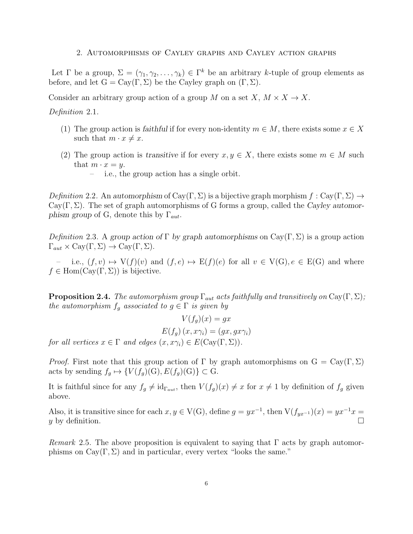### 2. Automorphisms of Cayley graphs and Cayley action graphs

Let  $\Gamma$  be a group,  $\Sigma = (\gamma_1, \gamma_2, \dots, \gamma_k) \in \Gamma^k$  be an arbitrary k-tuple of group elements as before, and let  $G = Cay(\Gamma, \Sigma)$  be the Cayley graph on  $(\Gamma, \Sigma)$ .

Consider an arbitrary group action of a group M on a set  $X, M \times X \to X$ .

Definition 2.1.

- (1) The group action is faithful if for every non-identity  $m \in M$ , there exists some  $x \in X$ such that  $m \cdot x \neq x$ .
- (2) The group action is transitive if for every  $x, y \in X$ , there exists some  $m \in M$  such that  $m \cdot x = y$ .
	- i.e., the group action has a single orbit.

Definition 2.2. An automorphism of Cay(Γ, Σ) is a bijective graph morphism  $f: \text{Cay}(\Gamma, \Sigma) \to$ Cay(Γ, Σ). The set of graph automorphisms of G forms a group, called the Cayley automorphism group of G, denote this by  $\Gamma_{aut}$ .

Definition 2.3. A group action of Γ by graph automorphisms on  $Cay(\Gamma, \Sigma)$  is a group action  $\Gamma_{aut} \times \text{Cay}(\Gamma, \Sigma) \to \text{Cay}(\Gamma, \Sigma).$ 

i.e.,  $(f, v) \mapsto V(f)(v)$  and  $(f, e) \mapsto E(f)(e)$  for all  $v \in V(G), e \in E(G)$  and where  $f \in \text{Hom}(\text{Cav}(\Gamma, \Sigma))$  is bijective.

**Proposition 2.4.** The automorphism group  $\Gamma_{aut}$  acts faithfully and transitively on Cay(Γ, Σ); the automorphism  $f_g$  associated to  $g \in \Gamma$  is given by

 $V(f_a)(x) = gx$  $E(f_a)(x, x\gamma_i) = (qx, qx\gamma_i)$ for all vertices  $x \in \Gamma$  and edges  $(x, x\gamma_i) \in E(\text{Cay}(\Gamma, \Sigma)).$ 

*Proof.* First note that this group action of  $\Gamma$  by graph automorphisms on  $G = Cay(\Gamma, \Sigma)$ acts by sending  $f_g \mapsto \{V(f_g)(G), E(f_g)(G)\} \subset G$ .

It is faithful since for any  $f_g \neq id_{\Gamma_{aut}}$ , then  $V(f_g)(x) \neq x$  for  $x \neq 1$  by definition of  $f_g$  given above.

Also, it is transitive since for each  $x, y \in V(G)$ , define  $g = yx^{-1}$ , then  $V(f_{yx^{-1}})(x) = yx^{-1}x =$ y by definition.

Remark 2.5. The above proposition is equivalent to saying that  $\Gamma$  acts by graph automorphisms on  $\text{Cay}(\Gamma, \Sigma)$  and in particular, every vertex "looks the same."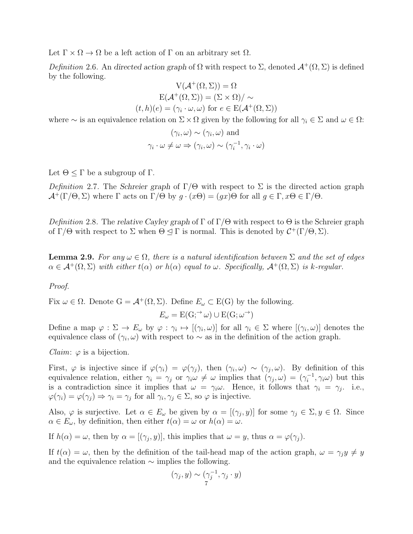Let  $\Gamma \times \Omega \to \Omega$  be a left action of  $\Gamma$  on an arbitrary set  $\Omega$ .

Definition 2.6. An directed action graph of  $\Omega$  with respect to  $\Sigma$ , denoted  $\mathcal{A}^+(\Omega,\Sigma)$  is defined by the following.

$$
V(\mathcal{A}^+(\Omega, \Sigma)) = \Omega
$$
  
\n
$$
E(\mathcal{A}^+(\Omega, \Sigma)) = (\Sigma \times \Omega) / \sim
$$
  
\n
$$
(t, h)(e) = (\gamma_i \cdot \omega, \omega) \text{ for } e \in E(\mathcal{A}^+(\Omega, \Sigma))
$$

where ∼ is an equivalence relation on  $\Sigma \times \Omega$  given by the following for all  $\gamma_i \in \Sigma$  and  $\omega \in \Omega$ :

$$
(\gamma_i, \omega) \sim (\gamma_i, \omega) \text{ and}
$$

$$
\gamma_i \cdot \omega \neq \omega \Rightarrow (\gamma_i, \omega) \sim (\gamma_i^{-1}, \gamma_i \cdot \omega)
$$

Let  $\Theta \leq \Gamma$  be a subgroup of  $\Gamma$ .

Definition 2.7. The Schreier graph of  $\Gamma/\Theta$  with respect to  $\Sigma$  is the directed action graph  $\mathcal{A}^+(\Gamma/\Theta,\Sigma)$  where  $\Gamma$  acts on  $\Gamma/\Theta$  by  $g \cdot (x\Theta) = (gx)\Theta$  for all  $g \in \Gamma, x\Theta \in \Gamma/\Theta$ .

Definition 2.8. The relative Cayley graph of  $\Gamma$  of  $\Gamma/\Theta$  with respect to  $\Theta$  is the Schreier graph of  $\Gamma/\Theta$  with respect to  $\Sigma$  when  $\Theta \leq \Gamma$  is normal. This is denoted by  $\mathcal{C}^+(\Gamma/\Theta, \Sigma)$ .

**Lemma 2.9.** For any  $\omega \in \Omega$ , there is a natural identification between  $\Sigma$  and the set of edges  $\alpha \in \mathcal{A}^+(\Omega, \Sigma)$  with either  $t(\alpha)$  or  $h(\alpha)$  equal to  $\omega$ . Specifically,  $\mathcal{A}^+(\Omega, \Sigma)$  is k-regular.

# Proof.

Fix  $\omega \in \Omega$ . Denote  $G = \mathcal{A}^+(\Omega, \Sigma)$ . Define  $E_{\omega} \subset E(G)$  by the following.

$$
E_{\omega} = \text{E}(G; \neg \omega) \cup \text{E}(G; \omega \neg \neg)
$$

Define a map  $\varphi : \Sigma \to E_\omega$  by  $\varphi : \gamma_i \mapsto [(\gamma_i, \omega)]$  for all  $\gamma_i \in \Sigma$  where  $[(\gamma_i, \omega)]$  denotes the equivalence class of  $(\gamma_i, \omega)$  with respect to  $\sim$  as in the definition of the action graph.

*Claim:*  $\varphi$  is a bijection.

First,  $\varphi$  is injective since if  $\varphi(\gamma_i) = \varphi(\gamma_j)$ , then  $(\gamma_i, \omega) \sim (\gamma_j, \omega)$ . By definition of this equivalence relation, either  $\gamma_i = \gamma_j$  or  $\gamma_i \omega \neq \omega$  implies that  $(\gamma_j, \omega) = (\gamma_i^{-1})$  $\overline{a_i}^{-1}, \gamma_i \omega$  but this is a contradiction since it implies that  $\omega = \gamma_i \omega$ . Hence, it follows that  $\gamma_i = \gamma_j$ . i.e.,  $\varphi(\gamma_i) = \varphi(\gamma_j) \Rightarrow \gamma_i = \gamma_j \text{ for all } \gamma_i, \gamma_j \in \Sigma \text{, so } \varphi \text{ is injective.}$ 

Also,  $\varphi$  is surjective. Let  $\alpha \in E_{\omega}$  be given by  $\alpha = [(\gamma_j, y)]$  for some  $\gamma_j \in \Sigma, y \in \Omega$ . Since  $\alpha \in E_{\omega}$ , by definition, then either  $t(\alpha) = \omega$  or  $h(\alpha) = \omega$ .

If  $h(\alpha) = \omega$ , then by  $\alpha = [(\gamma_j, y)]$ , this implies that  $\omega = y$ , thus  $\alpha = \varphi(\gamma_j)$ .

If  $t(\alpha) = \omega$ , then by the definition of the tail-head map of the action graph,  $\omega = \gamma_j y \neq y$ and the equivalence relation  $\sim$  implies the following.

$$
(\gamma_j, y) \sim (\gamma_j^{-1}, \gamma_j \cdot y)
$$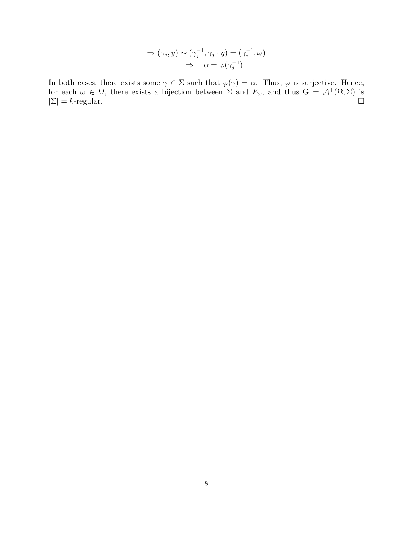$$
\Rightarrow (\gamma_j, y) \sim (\gamma_j^{-1}, \gamma_j \cdot y) = (\gamma_j^{-1}, \omega)
$$

$$
\Rightarrow \alpha = \varphi(\gamma_j^{-1})
$$

In both cases, there exists some  $\gamma \in \Sigma$  such that  $\varphi(\gamma) = \alpha$ . Thus,  $\varphi$  is surjective. Hence, for each  $\omega \in \Omega$ , there exists a bijection between  $\Sigma$  and  $E_{\omega}$ , and thus  $G = \mathcal{A}^+(\Omega, \Sigma)$  is  $|\Sigma| = k$ -regular.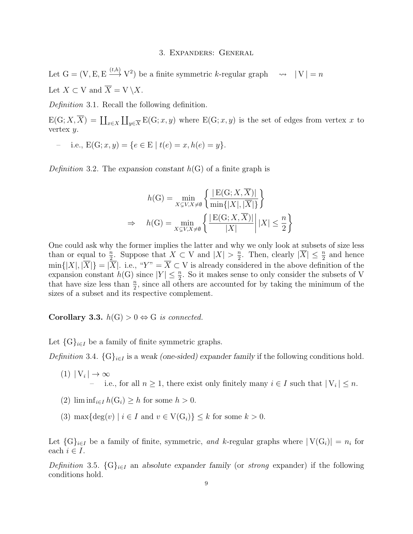### 3. Expanders: General

Let  $G = (V, E, E \xrightarrow{(t,h)} V^2)$  be a finite symmetric k-regular graph  $\rightsquigarrow |V| = n$ Let  $X \subset V$  and  $\overline{X} = V \setminus X$ .

Definition 3.1. Recall the following definition.

 $E(G; X, \overline{X}) = \coprod_{x \in X} \coprod_{y \in \overline{X}} E(G; x, y)$  where  $E(G; x, y)$  is the set of edges from vertex x to vertex  $y$ .

i.e.,  $E(G; x, y) = \{e \in E \mid t(e) = x, h(e) = y\}.$ 

Definition 3.2. The expansion constant  $h(G)$  of a finite graph is

$$
h(G) = \min_{X \subsetneq V, X \neq \emptyset} \left\{ \frac{|E(G; X, \overline{X})|}{\min\{|X|, |\overline{X}|\}} \right\}
$$
  
\n
$$
\Rightarrow \quad h(G) = \min_{X \subsetneq V, X \neq \emptyset} \left\{ \frac{|E(G; X, \overline{X})|}{|X|} \middle| |X| \leq \frac{n}{2} \right\}
$$

One could ask why the former implies the latter and why we only look at subsets of size less than or equal to  $\frac{n}{2}$ . Suppose that  $X \subset V$  and  $|X| > \frac{n}{2}$  $\frac{n}{2}$ . Then, clearly  $|\overline{X}| \leq \frac{n}{2}$  and hence  $\min\{|X|, |\overline{X}|\} = |\overline{X}|$ . i.e., " $Y'' = \overline{X} \subset V$  is already considered in the above definition of the expansion constant  $h(G)$  since  $|Y| \leq \frac{n}{2}$ . So it makes sense to only consider the subsets of V that have size less than  $\frac{n}{2}$ , since all others are accounted for by taking the minimum of the sizes of a subset and its respective complement.

Corollary 3.3.  $h(G) > 0 \Leftrightarrow G$  is connected.

Let  $\{G\}_{i\in I}$  be a family of finite symmetric graphs.

Definition 3.4.  $\{G\}_{i\in I}$  is a weak (one-sided) expander family if the following conditions hold.

- $(1) |V_i| \to \infty$ - i.e., for all  $n \geq 1$ , there exist only finitely many  $i \in I$  such that  $|V_i| \leq n$ .
- (2)  $\liminf_{i\in I} h(G_i) \geq h$  for some  $h > 0$ .
- (3) max $\{\deg(v) \mid i \in I \text{ and } v \in V(G_i)\} \leq k \text{ for some } k > 0.$

Let  $\{G\}_{i\in I}$  be a family of finite, symmetric, and k-regular graphs where  $|V(G_i)| = n_i$  for each  $i \in I$ .

Definition 3.5.  ${G}_{i\in I}$  an absolute expander family (or strong expander) if the following conditions hold.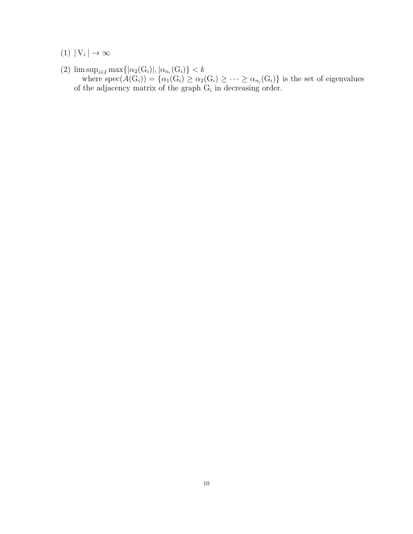$(1) |V_i| \to \infty$ 

(2)  $\limsup_{i \in I} \max\{|\alpha_2(G_i)|, |\alpha_{n_i}(G_i)\}| < k$ where  $spec(A(G_i)) = \{ \alpha_1(G_i) \geq \alpha_2(G_i) \geq \cdots \geq \alpha_{n_i}(G_i) \}$  is the set of eigenvalues of the adjacency matrix of the graph  $G_i$  in decreasing order.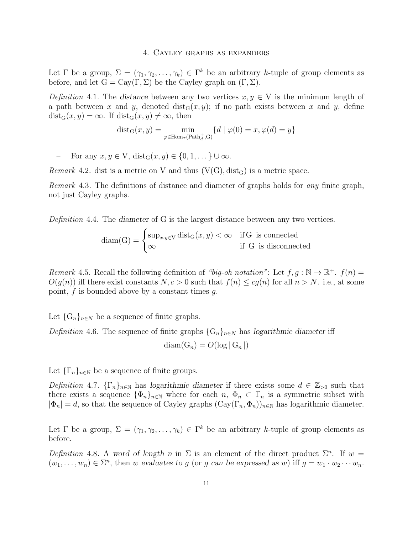#### 4. Cayley graphs as expanders

Let  $\Gamma$  be a group,  $\Sigma = (\gamma_1, \gamma_2, \dots, \gamma_k) \in \Gamma^k$  be an arbitrary k-tuple of group elements as before, and let  $G = Cay(\Gamma, \Sigma)$  be the Cayley graph on  $(\Gamma, \Sigma)$ .

Definition 4.1. The distance between any two vertices  $x, y \in V$  is the minimum length of a path between x and y, denoted  $dist_G(x, y)$ ; if no path exists between x and y, define  $dist_G(x, y) = \infty$ . If  $dist_G(x, y) \neq \infty$ , then

> $dist_G(x, y) = \min$  $\varphi \in \text{Hom}_{\tau}(\text{Path}_{d}^{+}, G)$  ${d | \varphi(0) = x, \varphi(d) = y}$

For any  $x, y \in V$ ,  $dist_G(x, y) \in \{0, 1, \dots\} \cup \infty$ .

*Remark* 4.2. dist is a metric on V and thus  $(V(G), dist_G)$  is a metric space.

Remark 4.3. The definitions of distance and diameter of graphs holds for any finite graph, not just Cayley graphs.

Definition 4.4. The diameter of G is the largest distance between any two vertices.

$$
diam(G) = \begin{cases} sup_{x,y \in V} dist_G(x,y) < \infty & \text{if } G \text{ is connected} \\ \infty & \text{if } G \text{ is disconnected} \end{cases}
$$

Remark 4.5. Recall the following definition of "big-oh notation": Let  $f, g : \mathbb{N} \to \mathbb{R}^+$ .  $f(n) =$  $O(q(n))$  iff there exist constants  $N, c > 0$  such that  $f(n) \leq c q(n)$  for all  $n > N$ . i.e., at some point,  $f$  is bounded above by a constant times  $g$ .

Let  $\{G_n\}_{n\in\mathbb{N}}$  be a sequence of finite graphs.

Definition 4.6. The sequence of finite graphs  $\{G_n\}_{n\in\mathbb{N}}$  has logarithmic diameter iff

 $diam(G_n) = O(log | G_n |)$ 

Let  $\{\Gamma_n\}_{n\in\mathbb{N}}$  be a sequence of finite groups.

Definition 4.7.  $\{\Gamma_n\}_{n\in\mathbb{N}}$  has logarithmic diameter if there exists some  $d \in \mathbb{Z}_{>0}$  such that there exists a sequence  $\{\Phi_n\}_{n\in\mathbb{N}}$  where for each  $n, \Phi_n \subset \Gamma_n$  is a symmetric subset with  $|\Phi_n| = d$ , so that the sequence of Cayley graphs  $(\text{Cay}(\Gamma_n, \Phi_n))_{n \in \mathbb{N}}$  has logarithmic diameter.

Let  $\Gamma$  be a group,  $\Sigma = (\gamma_1, \gamma_2, \dots, \gamma_k) \in \Gamma^k$  be an arbitrary k-tuple of group elements as before.

Definition 4.8. A word of length n in  $\Sigma$  is an element of the direct product  $\Sigma^n$ . If w =  $(w_1, \ldots, w_n) \in \Sigma^n$ , then w evaluates to g (or g can be expressed as w) iff  $g = w_1 \cdot w_2 \cdots w_n$ .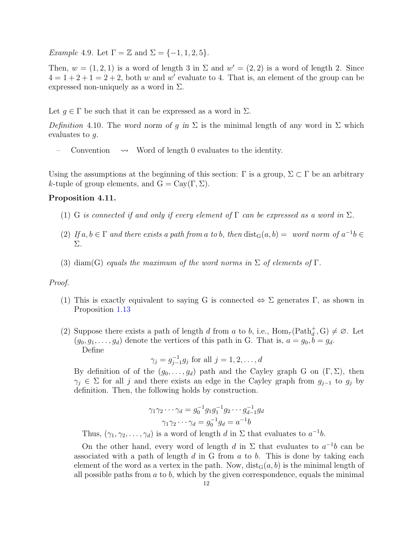Example 4.9. Let  $\Gamma = \mathbb{Z}$  and  $\Sigma = \{-1, 1, 2, 5\}.$ 

Then,  $w = (1, 2, 1)$  is a word of length 3 in  $\Sigma$  and  $w' = (2, 2)$  is a word of length 2. Since  $4 = 1 + 2 + 1 = 2 + 2$ , both w and w' evaluate to 4. That is, an element of the group can be expressed non-uniquely as a word in  $\Sigma$ .

Let  $g \in \Gamma$  be such that it can be expressed as a word in  $\Sigma$ .

Definition 4.10. The word norm of g in  $\Sigma$  is the minimal length of any word in  $\Sigma$  which evaluates to g.

Convention  $\rightarrow$  Word of length 0 evaluates to the identity.

Using the assumptions at the beginning of this section:  $\Gamma$  is a group,  $\Sigma \subset \Gamma$  be an arbitrary k-tuple of group elements, and  $G = Cay(\Gamma, \Sigma)$ .

# Proposition 4.11.

- (1) G is connected if and only if every element of  $\Gamma$  can be expressed as a word in  $\Sigma$ .
- (2) If  $a, b \in \Gamma$  and there exists a path from a to b, then  $dist_G(a, b) = word norm$  of  $a^{-1}b \in$ Σ.
- (3) diam(G) equals the maximum of the word norms in  $\Sigma$  of elements of  $\Gamma$ .

### Proof.

- (1) This is exactly equivalent to saying G is connected  $\Leftrightarrow \Sigma$  generates Γ, as shown in Proposition [1.13](#page-3-0)
- (2) Suppose there exists a path of length d from a to b, i.e.,  $\text{Hom}_{\tau}(\text{Path}_{d}^{+}, G) \neq \emptyset$ . Let  $(g_0, g_1, \ldots, g_d)$  denote the vertices of this path in G. That is,  $a = g_0, b = g_d$ . Define

$$
\gamma_j = g_{j-1}^{-1} g_j
$$
 for all  $j = 1, 2, ..., d$ 

By definition of of the  $(g_0, \ldots, g_d)$  path and the Cayley graph G on  $(\Gamma, \Sigma)$ , then  $\gamma_j \in \Sigma$  for all j and there exists an edge in the Cayley graph from  $g_{j-1}$  to  $g_j$  by definition. Then, the following holds by construction.

$$
\gamma_1 \gamma_2 \cdots \gamma_d = g_0^{-1} g_1 g_1^{-1} g_2 \cdots g_{d-1}^{-1} g_d
$$

$$
\gamma_1 \gamma_2 \cdots \gamma_d = g_0^{-1} g_d = a^{-1} b
$$

Thus,  $(\gamma_1, \gamma_2, \ldots, \gamma_d)$  is a word of length d in  $\Sigma$  that evaluates to  $a^{-1}b$ .

On the other hand, every word of length d in  $\Sigma$  that evaluates to  $a^{-1}b$  can be associated with a path of length  $d$  in G from  $a$  to  $b$ . This is done by taking each element of the word as a vertex in the path. Now,  $dist_G(a, b)$  is the minimal length of all possible paths from  $a$  to  $b$ , which by the given correspondence, equals the minimal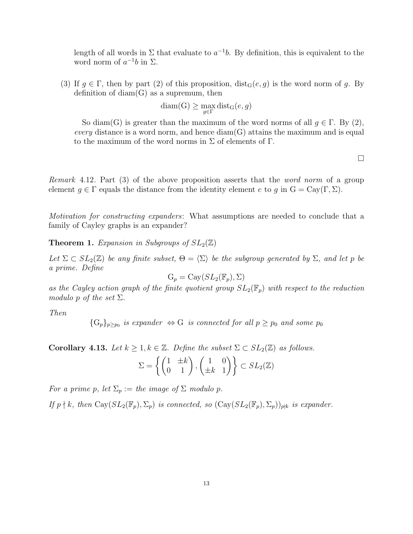length of all words in  $\Sigma$  that evaluate to  $a^{-1}b$ . By definition, this is equivalent to the word norm of  $a^{-1}b$  in  $\Sigma$ .

(3) If  $g \in \Gamma$ , then by part (2) of this proposition,  $dist_G(e, g)$  is the word norm of g. By definition of  $diam(G)$  as a supremum, then

$$
diam(G) \ge \max_{g \in \Gamma} dist_G(e, g)
$$

So diam(G) is greater than the maximum of the word norms of all  $q \in \Gamma$ . By (2), every distance is a word norm, and hence  $diam(G)$  attains the maximum and is equal to the maximum of the word norms in  $\Sigma$  of elements of  $\Gamma$ .

 $\Box$ 

Remark 4.12. Part (3) of the above proposition asserts that the word norm of a group element  $g \in \Gamma$  equals the distance from the identity element e to g in  $G = Cay(\Gamma, \Sigma)$ .

Motivation for constructing expanders: What assumptions are needed to conclude that a family of Cayley graphs is an expander?

**Theorem 1.** Expansion in Subgroups of  $SL_2(\mathbb{Z})$ 

Let  $\Sigma \subset SL_2(\mathbb{Z})$  be any finite subset,  $\Theta = \langle \Sigma \rangle$  be the subgroup generated by  $\Sigma$ , and let p be a prime. Define

$$
G_p = Cay(SL_2(\mathbb{F}_p), \Sigma)
$$

as the Cayley action graph of the finite quotient group  $SL_2(\mathbb{F}_p)$  with respect to the reduction modulo p of the set  $\Sigma$ .

Then

 ${G_p}_{p \geq p_0}$  is expander  $\Leftrightarrow G$  is connected for all  $p \geq p_0$  and some  $p_0$ 

**Corollary 4.13.** Let  $k \geq 1, k \in \mathbb{Z}$ . Define the subset  $\Sigma \subset SL_2(\mathbb{Z})$  as follows.

$$
\Sigma = \left\{ \begin{pmatrix} 1 & \pm k \\ 0 & 1 \end{pmatrix}, \begin{pmatrix} 1 & 0 \\ \pm k & 1 \end{pmatrix} \right\} \subset SL_2(\mathbb{Z})
$$

For a prime p, let  $\Sigma_p :=$  the image of  $\Sigma$  modulo p.

If  $p \nmid k$ , then  $\text{Cay}(SL_2(\mathbb{F}_p), \Sigma_p)$  is connected, so  $(\text{Cay}(SL_2(\mathbb{F}_p), \Sigma_p))_{p\nmid k}$  is expander.